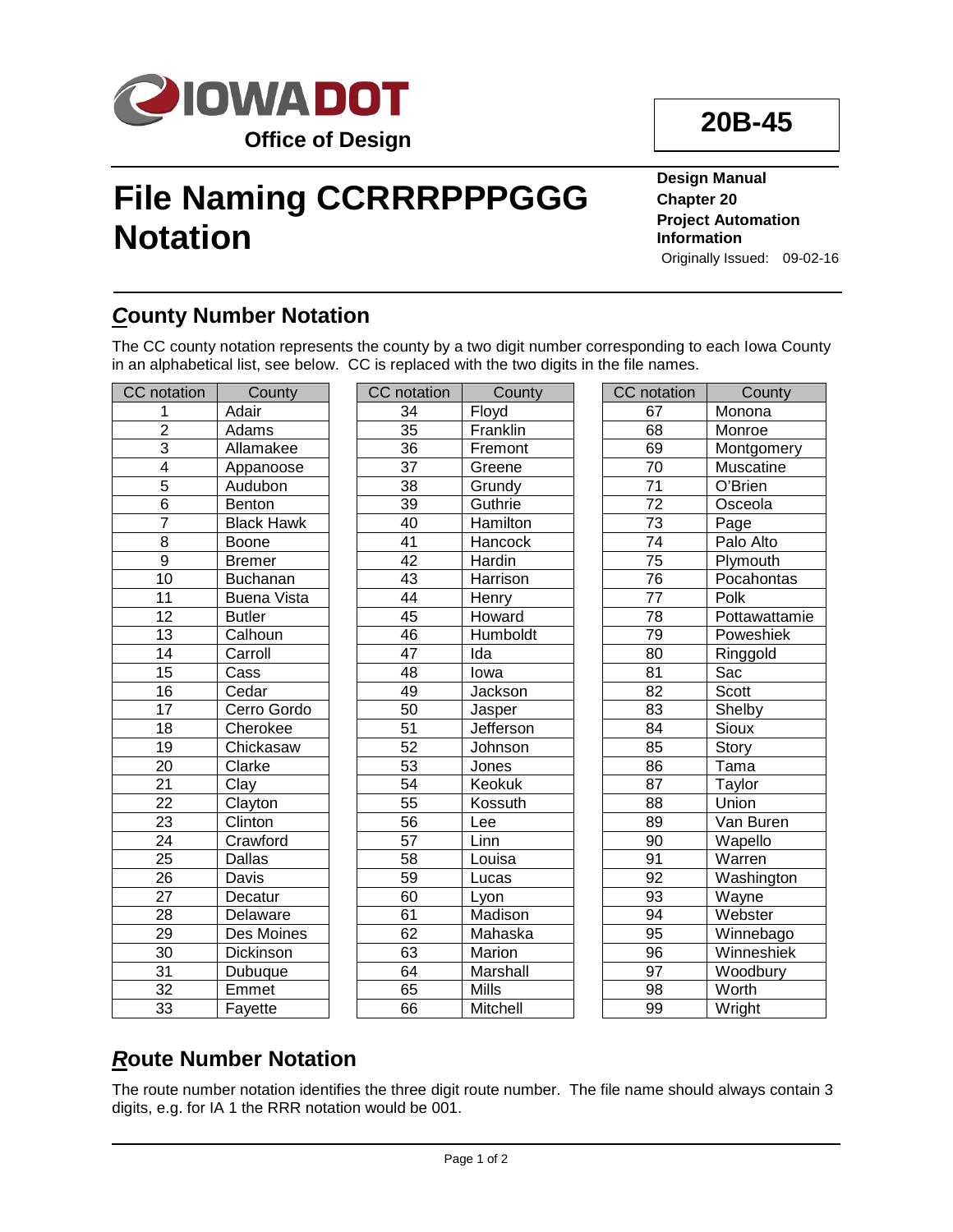

# **File Naming CCRRRPPPGGG Notation**

**Design Manual Chapter 20 Project Automation Information** Originally Issued: 09-02-16

**20B-45**

## *C***ounty Number Notation**

The CC county notation represents the county by a two digit number corresponding to each Iowa County in an alphabetical list, see below. CC is replaced with the two digits in the file names.

| CC notation     | County             | <b>CC</b> notation | County          | <b>CC</b> notation | County             |
|-----------------|--------------------|--------------------|-----------------|--------------------|--------------------|
| 1               | Adair              | 34                 | Floyd           | 67                 | Monona             |
| $\overline{2}$  | Adams              | 35                 | Franklin        | 68                 | Monroe             |
| 3               | Allamakee          | 36                 | Fremont         | 69                 | Montgomery         |
| $\overline{4}$  | Appanoose          | $\overline{37}$    | Greene          | $\overline{70}$    | Muscatine          |
| $\overline{5}$  | Audubon            | $\overline{38}$    | Grundy          | $\overline{71}$    | O'Brien            |
| $\overline{6}$  | Benton             | 39                 | Guthrie         | $\overline{72}$    | Osceola            |
| $\overline{7}$  | <b>Black Hawk</b>  | 40                 | <b>Hamilton</b> | $\overline{73}$    | Page               |
| $\overline{8}$  | <b>Boone</b>       | 41                 | Hancock         | 74                 | Palo Alto          |
| $\overline{9}$  | <b>Bremer</b>      | $\overline{42}$    | Hardin          | 75                 | Plymouth           |
| $\overline{10}$ | Buchanan           | 43                 | Harrison        | 76                 | Pocahontas         |
| $\overline{11}$ | <b>Buena Vista</b> | 44                 | Henry           | $\overline{77}$    | Polk               |
| $\overline{12}$ | <b>Butler</b>      | 45                 | Howard          | 78                 | Pottawattamie      |
| $\overline{13}$ | Calhoun            | 46                 | Humboldt        | 79                 | Poweshiek          |
| 14              | Carroll            | 47                 | Ida             | $\overline{80}$    | Ringgold           |
| 15              | Cass               | $\overline{48}$    | lowa            | $\overline{81}$    | Sac                |
| $\overline{16}$ | Cedar              | 49                 | Jackson         | $\overline{82}$    | Scott              |
| $\overline{17}$ | Cerro Gordo        | 50                 | Jasper          | 83                 | Shelby             |
| $\overline{18}$ | Cherokee           | 51                 | Jefferson       | 84                 | Sioux              |
| 19              | Chickasaw          | 52                 | Johnson         | 85                 | Story              |
| 20              | Clarke             | 53                 | Jones           | 86                 | $\overline{T}$ ama |
| $\overline{21}$ | Clay               | $\overline{54}$    | Keokuk          | 87                 | Taylor             |
| $\overline{22}$ | Clayton            | $\overline{55}$    | Kossuth         | 88                 | Union              |
| $\overline{23}$ | Clinton            | $\overline{56}$    | Lee             | 89                 | Van Buren          |
| $\overline{24}$ | Crawford           | $\overline{57}$    | Linn            | 90                 | Wapello            |
| 25              | Dallas             | 58                 | Louisa          | 91                 | Warren             |
| $\overline{26}$ | Davis              | 59                 | Lucas           | $\overline{92}$    | Washington         |
| $\overline{27}$ | Decatur            | 60                 | Lyon            | 93                 | Wayne              |
| 28              | Delaware           | 61                 | Madison         | 94                 | Webster            |
| 29              | Des Moines         | 62                 | Mahaska         | $\overline{95}$    | Winnebago          |
| 30              | Dickinson          | 63                 | Marion          | $\overline{96}$    | Winneshiek         |
| 31              | Dubuque            | 64                 | Marshall        | 97                 | Woodbury           |
| 32              | Emmet              | 65                 | Mills           | $\overline{98}$    | Worth              |
| 33              | Fayette            | 66                 | Mitchell        | 99                 | Wright             |

## *R***oute Number Notation**

The route number notation identifies the three digit route number. The file name should always contain 3 digits, e.g. for IA 1 the RRR notation would be 001.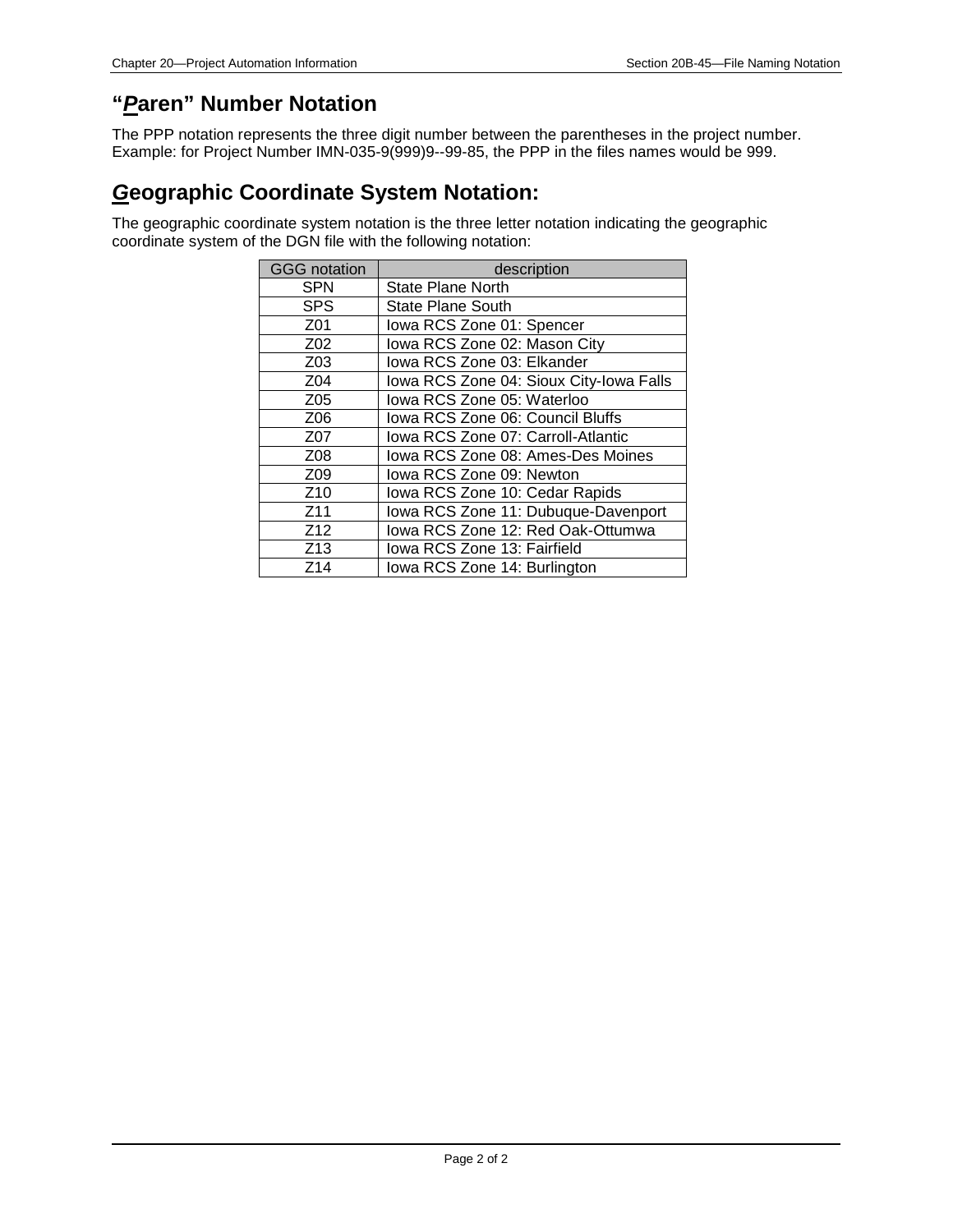#### **"***P***aren" Number Notation**

The PPP notation represents the three digit number between the parentheses in the project number. Example: for Project Number IMN-035-9(999)9--99-85, the PPP in the files names would be 999.

#### *G***eographic Coordinate System Notation:**

The geographic coordinate system notation is the three letter notation indicating the geographic coordinate system of the DGN file with the following notation:

| <b>GGG</b> notation | description                             |  |  |  |  |
|---------------------|-----------------------------------------|--|--|--|--|
| <b>SPN</b>          | <b>State Plane North</b>                |  |  |  |  |
| <b>SPS</b>          | <b>State Plane South</b>                |  |  |  |  |
| Z01                 | Iowa RCS Zone 01: Spencer               |  |  |  |  |
| Z <sub>02</sub>     | Iowa RCS Zone 02: Mason City            |  |  |  |  |
| Z03                 | lowa RCS Zone 03: Elkander              |  |  |  |  |
| Z <sub>04</sub>     | Iowa RCS Zone 04: Sioux City-Iowa Falls |  |  |  |  |
| Z05                 | lowa RCS Zone 05: Waterloo              |  |  |  |  |
| Z06                 | Iowa RCS Zone 06: Council Bluffs        |  |  |  |  |
| Z07                 | Iowa RCS Zone 07: Carroll-Atlantic      |  |  |  |  |
| Z08                 | Iowa RCS Zone 08: Ames-Des Moines       |  |  |  |  |
| Z <sub>09</sub>     | lowa RCS Zone 09: Newton                |  |  |  |  |
| Z <sub>10</sub>     | Iowa RCS Zone 10: Cedar Rapids          |  |  |  |  |
| Z <sub>11</sub>     | Iowa RCS Zone 11: Dubuque-Davenport     |  |  |  |  |
| Z <sub>12</sub>     | lowa RCS Zone 12: Red Oak-Ottumwa       |  |  |  |  |
| Z <sub>13</sub>     | Iowa RCS Zone 13: Fairfield             |  |  |  |  |
| Z <sub>14</sub>     | Iowa RCS Zone 14: Burlington            |  |  |  |  |